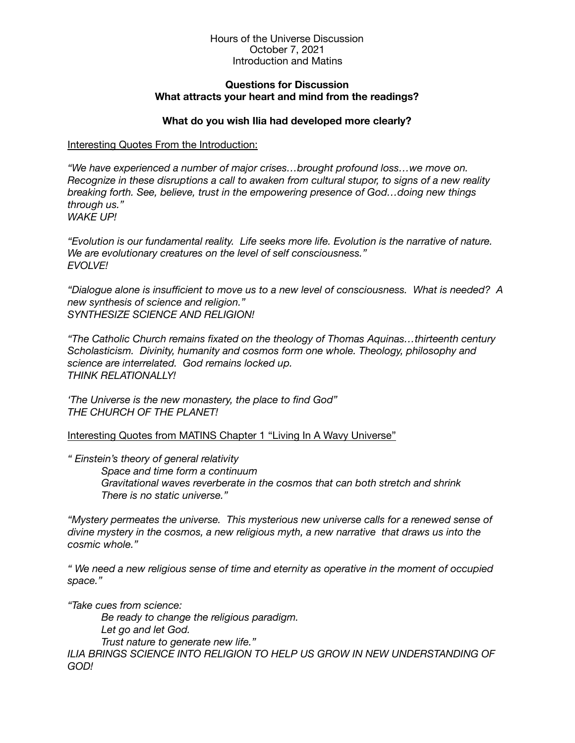#### Hours of the Universe Discussion October 7, 2021 Introduction and Matins

### **Questions for Discussion What attracts your heart and mind from the readings?**

# **What do you wish Ilia had developed more clearly?**

## Interesting Quotes From the Introduction:

*"We have experienced a number of major crises…brought profound loss…we move on. Recognize in these disruptions a call to awaken from cultural stupor, to signs of a new reality breaking forth. See, believe, trust in the empowering presence of God…doing new things through us." WAKE UP!* 

*"Evolution is our fundamental reality. Life seeks more life. Evolution is the narrative of nature. We are evolutionary creatures on the level of self consciousness." EVOLVE!* 

*"Dialogue alone is insufficient to move us to a new level of consciousness. What is needed? A new synthesis of science and religion." SYNTHESIZE SCIENCE AND RELIGION!* 

*"The Catholic Church remains fixated on the theology of Thomas Aquinas…thirteenth century Scholasticism. Divinity, humanity and cosmos form one whole. Theology, philosophy and science are interrelated. God remains locked up. THINK RELATIONALLY!* 

*'The Universe is the new monastery, the place to find God" THE CHURCH OF THE PLANET!* 

Interesting Quotes from MATINS Chapter 1 "Living In A Wavy Universe"

*" Einstein's theory of general relativity* 

*Space and time form a continuum Gravitational waves reverberate in the cosmos that can both stretch and shrink There is no static universe."* 

*"Mystery permeates the universe. This mysterious new universe calls for a renewed sense of divine mystery in the cosmos, a new religious myth, a new narrative that draws us into the cosmic whole."* 

*" We need a new religious sense of time and eternity as operative in the moment of occupied space."* 

*"Take cues from science:* 

*Be ready to change the religious paradigm. Let go and let God. Trust nature to generate new life."*  **ILIA BRINGS SCIENCE INTO RELIGION TO HELP US GROW IN NEW UNDERSTANDING OF** *GOD!*